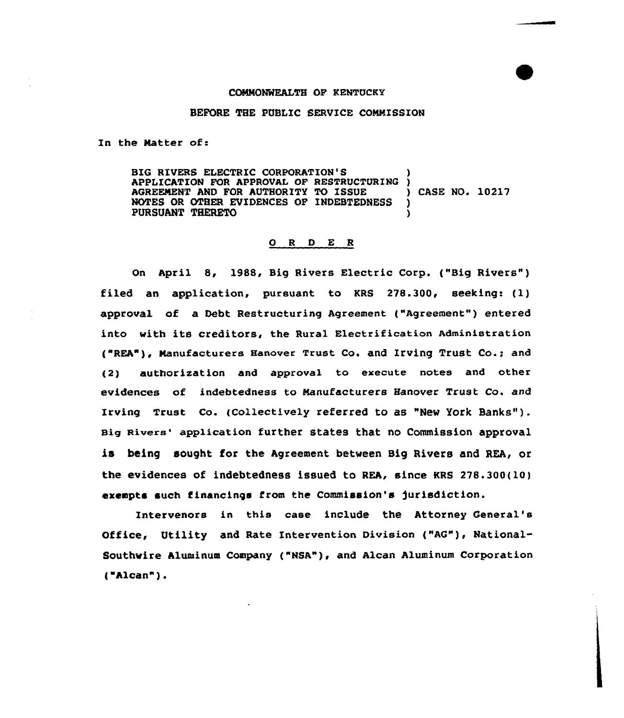## COMMONWEALTH OF XENTUCKY

## BEFORE THE PUBLIC SERVICE COMMISSION

In the Natter of:

BIG RIVERS ELECTRIC CORPORATION'S APPLICATION FOR APPROVAL OF RESTRUCTURING )<br>AGREEMENT AND FOR AUTHORITY TO ISSUE ( ) CASE NO. 10217 AGREEMENT AND FOR AUTHORITY TO ISSUE )<br>NOTES OR OTHER EVIDENCES OF INDEBTEDNESS NOTES OR OTHER EVIDENCES OF INDEBTEDNESS )<br>PURSUANT THERETO PURSUANT THERETO )

## 0 <sup>R</sup> <sup>D</sup> E R

On April 8, 1988, Big Rivers Electric Corp. ("Big Rivers" ) filed an application, pursuant to KRS 278.300, seeking: (1) approval of a Debt Restructuring Agreement ("Agreement") entered into with its creditors, the Rural Electrification Administration ("REA"), Manufacturers Hanover Trust Co. and Irving Trust Co.; and (2) authorization and approval to execute notes and other evidences of indebtedness to Nanufacturers Hanover Trust Co. and Irving Trust Co. (Collectively referred to as "New York Banks" ). Big Rivers' application further states that no Commission approval is being sought for the Agreement between Big Rivers and REA, or the evidences of indebtedness issued to REA, since KRS 278.300(10) ezempts such tinancings from the Commission's )urisdiction.

Intervenors in this case include the Attorney General' Office, Utility and Rate Intervention Division ("AG"), National-Southwire Aluminum Company {"NSA"), and Alcan Aluminum Corporation ( Alcan").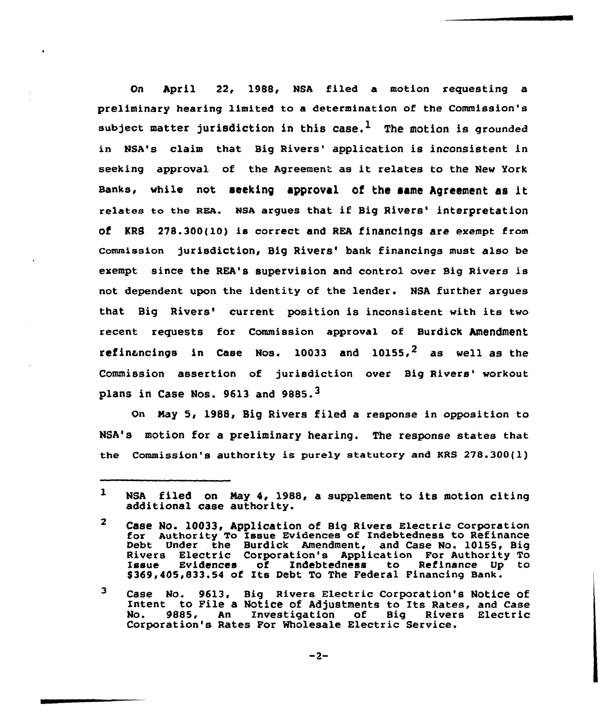On April 22, 1988, NBA filed a motion requesting a preliminary hearing limited to a determination of the Commission's subject matter jurisdiction in this case.<sup>1</sup> The motion is grounded in NSA's claim that Big Rivers' application is inconsistent in seeking approval of the Agreement as it relates to the New York Banks, while not seeking approval of the same Agreement as it relates to the REA. NSA arques that if Big Rivers' interpretation of KRS 278.300(10) is correct and REA financings are exempt from Commission jurisdiction, Big Rivers' bank financings must also be exempt since the REA's supervision and control over Big Rivers is not dependent upon the identity of the lender. NSA further argues that Big Rivers' current position is inconsistent with its two recent requests for Commission approval of Burdick Amendment refinancings in Case Nos. 10033 and 10155.<sup>2</sup> as well as the Commission assertion of jurisdiction over Big Rivers' workout plans in Case Nos. 9613 and 9885.<sup>3</sup>

On Nay 5, 1988, Big Rivers filed a response in opposition to NSA's motion for a preliminary hearing. The response states that the Commission's authority is purely statutory and KRS 278.300(l)

 $\mathbf{I}$ NSA filed on Nay 4, 1988, a supplement to its motion citing additional case authority.

 $\mathbf{z}$ Case NO. 10033, Application of Big Rivers Electric Corporation tor Authority To Issue Evidences of Indebtedness to Refinance Debt Under the Burdick Amendment, and Case No. 10155, Big Rivers Electric Corporation's Application For Authority To Issue Evidences of Indebtedness to Refinance Up to \$369,405,833.54 of Its Debt To The Federal Financing Bank.

 $\overline{\mathbf{3}}$ Case No. 9613, Big Rivers Electric Corporation's Notice of Lase No. 5015, Big Alvers Electric corporation s Notice on<br>Intent to File a Notice of Adjustments to Its Rates, and Case no. 9885, An Investigation of Big Rivers Electric No. 9885, An Investigation of Big Rivers Electric<br>Corporation's Rates For-Wholesale-Electric-Service.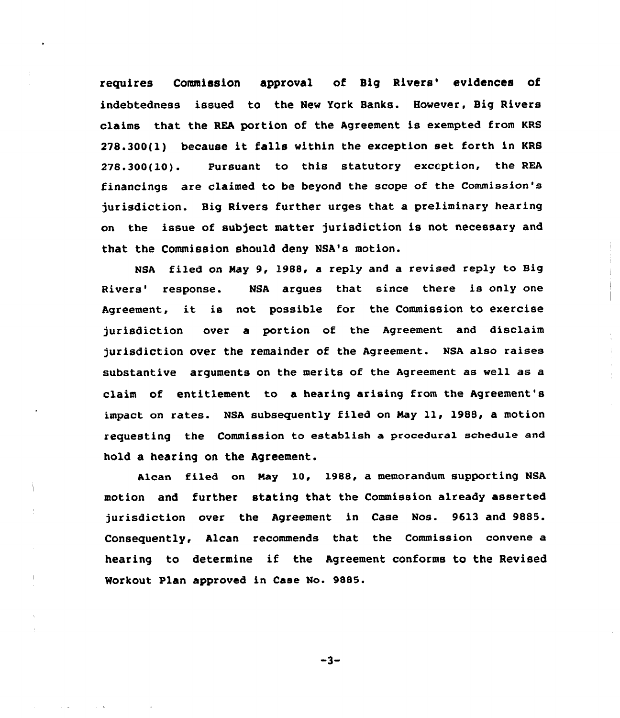requires Commission approval of Big Rivers' evidences of indebtedness issued to the New York Banks. However, Big Rivers claims that the REA portion of the Agreement is exempted from KRS 278.300(l) because it falls within the exception set forth in KRS 278.300(10). Pursuant to this statutory exception, the REA financings are claimed to be beyond the scope of the Commission's jurisdiction. Big Rivers further urges that a preliminary hearing on the issue of subject matter jurisdiction is not necessary and that the Commission should deny NSA's motion.

NSA filed on May 9, 1988, a reply and a revised reply to Big Rivers' response. NSA argues that since there is only one Agreement, it is not possible for the Commission to exercise jurisdiction over a portion of the Agreement and disclaim jurisdiction over the remainder of the Agreement. NsA also raises substantive arguments on the merits of the Agreement as well as a claim of entitlement to a hearing arising from the Agreement'8 impact on rates. NSA subsequently filed on Nay ll, 1988, <sup>a</sup> motion requesting the Commission to establish a pxocedura1 schedu1e and hold a hearing on the Agreement.

Alcan filed on Nay 10, 1988, a memorandum supporting NSA motion and further stating that the Commission already asserted jurisdiction over the Agreement in Case Nos. 9613 and 9885. Consequently, Alcan recommends that the Commission convene a hearing to determine if the Agreement conforms to the Revised Workout Plan approved in Case No. 9885.

 $-3-$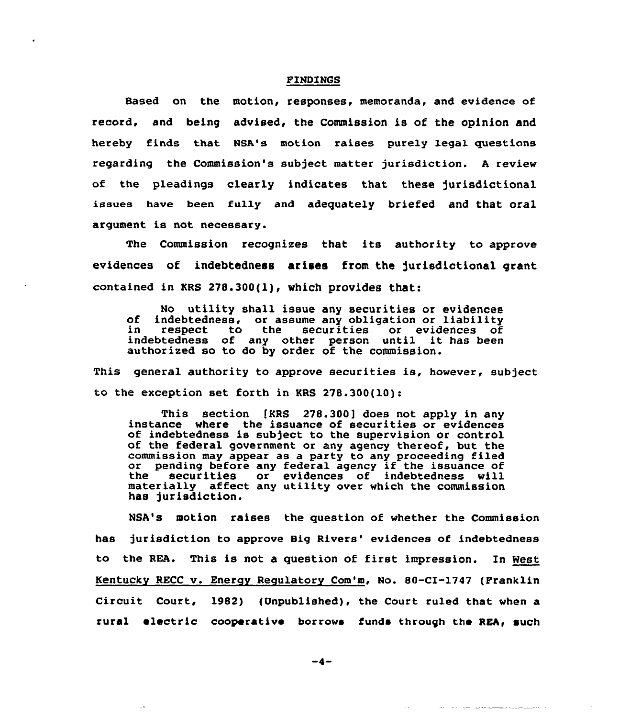## FINDINGS

Based on the motion, responses, memoranda, and evidence of record, and being advised, the Commission is of the opinion and hereby finds that NSA's motion raises purely legal questions regarding the Commission's subject matter jurisdiction. <sup>A</sup> review of the pleadings clearly indicates that these jurisdictional issues have been fully and adequately briefed and that oral argument is not necessary.

The Commission recognizes that its authority to approve evidences of indebtedness arises from the jurisdictional grant contained in KRS 278.300(l), which provides that:

No utility shall issue any securities or evidences<br>of indebtedness, or assume any obligation or liability<br>in respect to the securities or evidences of in respect to the securities or evidences of<br>indebtedness of any other person until it has been authorized so to do by order of the commission.

This general authority to approve securities is, however, subject to the exception set forth in KRS  $278.300(10)$ :

This section [KRS 278.300] does not apply in any instance where the issuance of securities or evidences of indebtedness is subject to the supervision or control of the federal government or any agency thereof, but the commission may appear as a party to any proceeding filed or pending before any federal agency if the issuance of<br>the securities or evidences of indebtedness will or evidences of indebtedness will materially affect any utility over which the commission has jurisdiction.

NSA's motion raises the question of whether the Commission has jurisdiction to approve Big Rivers' evidences of indebtedness to the REA. This is not a question of first impression. In West Kentucky RECC v. Energy Regulatory Com'm, No. 80-CI-1747 (Franklin Circuit Court, 1982) (Unpublished), the Court ruled that when a rural electric cooperative borrows funds through the REA, such

 $-4-$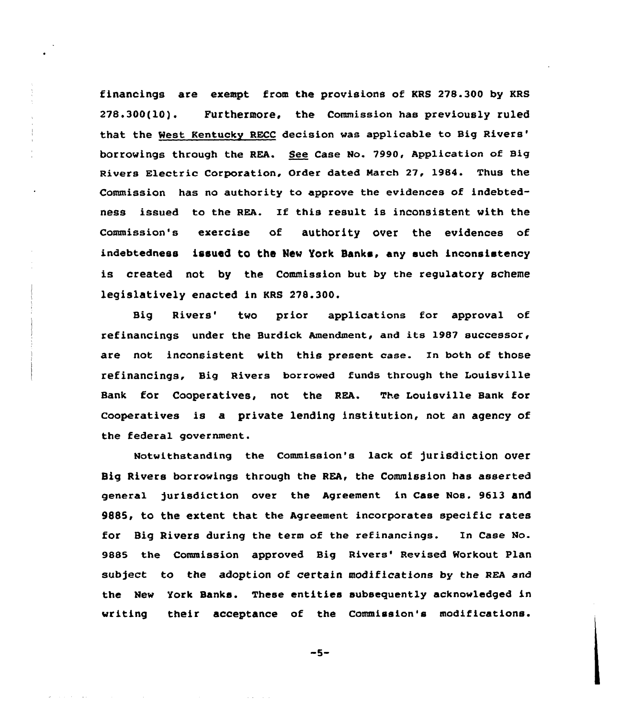financings are exempt from the provisions of KRS 278.300 by KRS 278.300(10). Purthermore, the commission has previously ruled that the Nest Kentucky RECC decision was applicable to Big through the REA. See Case No. 7990, Application of Big Rivers Electric Corporation, Order dated March 27, 1984. Thus the Commission has no authority to approve the evidences of indebtedness issued to the REA. If this result is inconsistent with the Commission's exercise of authority over the evidences of indebtedness issued to the New York Banks, any such inconsistency is created not by the Commission but by the regulatory scheme legislatively enacted in KRS 278.300.

Big Rivers' two prior applications for approval of refinancings under the Burdick Amendment, and its 1987 successor, are not inconsistent with this present case. In both of those refinancings, Big Rivers borrowed funds through the Louisville Bank for Cooperatives, not the REA. The Louisville Bank for Cooperatives is a private lending institution, not an agency of the federal government.

Notwithstanding the Commission's lack of jurisdiction over Big Rivers borrowings through the REA, the Commission has asserted general )urisdiction over the Agreement in Case Nos. 9613 and 9885, to the extent that the Agreement incorporates specific rates for Big Rivers during the term of the refinancings. In Case No. 9885 the Commission approved Big Rivers' Revised Workout Plan subject to the adoption of certain modifications by the REA and the New York Banks. These entities subsequently acknowledged in writing their acceptance of the Commission's modifications.

 $-5-$